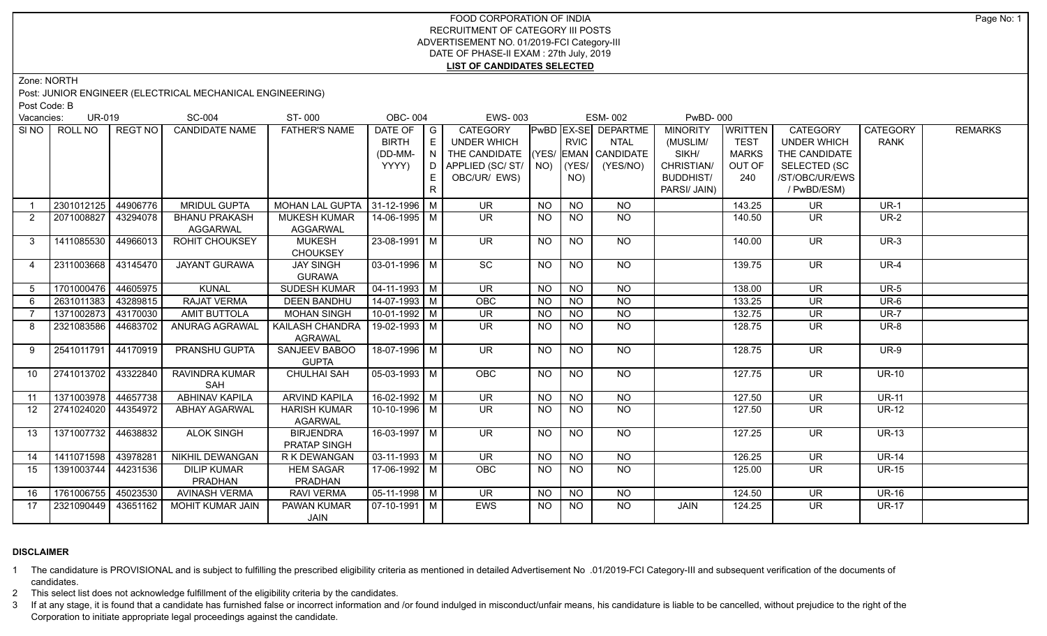## FOOD CORPORATION OF INDIA RECRUITMENT OF CATEGORY III POSTS ADVERTISEMENT NO. 01/2019-FCI Category-III DATE OF PHASE-II EXAM : 27th July, 2019 **LIST OF CANDIDATES SELECTED**

Zone: NORTH

Post: JUNIOR ENGINEER (ELECTRICAL MECHANICAL ENGINEERING)

Post Code: B

|                 | <b>UR-019</b><br>Vacancies: |                | <b>SC-004</b>          | ST-000                                | <b>OBC-004</b>         |                            | <b>EWS-003</b>                     |                 |                 | <b>ESM-002</b>             | <b>PwBD-000</b>  |                |                          |                 |                |
|-----------------|-----------------------------|----------------|------------------------|---------------------------------------|------------------------|----------------------------|------------------------------------|-----------------|-----------------|----------------------------|------------------|----------------|--------------------------|-----------------|----------------|
|                 | SINO ROLL NO                | <b>REGT NO</b> | <b>CANDIDATE NAME</b>  | <b>FATHER'S NAME</b>                  | DATE OF                | $\overline{\phantom{a}}$ G | <b>CATEGORY</b>                    |                 |                 | <b>PWBD EX-SE DEPARTME</b> | <b>MINORITY</b>  | <b>WRITTEN</b> | <b>CATEGORY</b>          | <b>CATEGORY</b> | <b>REMARKS</b> |
|                 |                             |                |                        |                                       | <b>BIRTH</b>           | E                          | <b>UNDER WHICH</b>                 |                 | <b>RVIC</b>     | <b>NTAL</b>                | (MUSLIM/         | <b>TEST</b>    | <b>UNDER WHICH</b>       | <b>RANK</b>     |                |
|                 |                             |                |                        |                                       | (DD-MM-                | N                          | THE CANDIDATE (YES/ EMAN CANDIDATE |                 |                 |                            | SIKH/            | <b>MARKS</b>   | THE CANDIDATE            |                 |                |
|                 |                             |                |                        |                                       | YYYY)                  | ו חו                       | APPLIED (SC/ST/                    | NO)             | (YES/           | (YES/NO)                   | CHRISTIAN/       | OUT OF         | <b>SELECTED (SC</b>      |                 |                |
|                 |                             |                |                        |                                       |                        | E.                         | OBC/UR/ EWS)                       |                 | NO)             |                            | <b>BUDDHIST/</b> | 240            | /ST/OBC/UR/EWS           |                 |                |
|                 |                             |                |                        |                                       |                        | R                          |                                    |                 |                 |                            | PARSI/ JAIN)     |                | / PwBD/ESM)              |                 |                |
|                 | 2301012125                  | 44906776       | <b>MRIDUL GUPTA</b>    | MOHAN LAL GUPTA 31-12-1996   M        |                        |                            | <b>UR</b>                          | NO              | <b>NO</b>       | NO                         |                  | 143.25         | <b>UR</b>                | $UR-1$          |                |
| 2               | 2071008827                  | 43294078       | <b>BHANU PRAKASH</b>   | <b>MUKESH KUMAR</b>                   | $14 - 06 - 1995$ M     |                            | $\overline{\mathsf{UR}}$           | <b>NO</b>       | NO              | N <sub>O</sub>             |                  | 140.50         | $\overline{\mathsf{UR}}$ | $UR-2$          |                |
|                 |                             |                | <b>AGGARWAL</b>        | <b>AGGARWAL</b>                       |                        |                            |                                    |                 |                 |                            |                  |                |                          |                 |                |
| 3               | 1411085530                  | 44966013       | ROHIT CHOUKSEY         | <b>MUKESH</b>                         | 23-08-1991 M           |                            | <b>UR</b>                          | NO              | <b>NO</b>       | NO.                        |                  | 140.00         | <b>UR</b>                | $UR-3$          |                |
|                 |                             |                |                        | <b>CHOUKSEY</b>                       |                        |                            |                                    |                 |                 |                            |                  |                |                          |                 |                |
| 4               | 2311003668                  | 43145470       | <b>JAYANT GURAWA</b>   | <b>JAY SINGH</b>                      | $03-01-1996$ M         |                            | $\overline{SC}$                    | $\overline{NO}$ | $\overline{NO}$ | $\overline{NO}$            |                  | 139.75         | $\overline{\mathsf{UR}}$ | $UR-4$          |                |
|                 |                             |                |                        | <b>GURAWA</b>                         |                        |                            |                                    |                 |                 |                            |                  |                |                          |                 |                |
| 5               | 1701000476 44605975         |                | <b>KUNAL</b>           | <b>SUDESH KUMAR</b>                   | $\boxed{04-11-1993}$ M |                            | $\overline{\mathsf{UR}}$           | <b>NO</b>       | <b>NO</b>       | N <sub>O</sub>             |                  | 138.00         | $\overline{\mathsf{UR}}$ | $UR-5$          |                |
| 6               | 2631011383                  | 43289815       | <b>RAJAT VERMA</b>     | <b>DEEN BANDHU</b>                    | $14-07-1993$ M         |                            | OBC                                | $\overline{NO}$ | $\overline{NO}$ | N <sub>O</sub>             |                  | 133.25         | $\overline{\mathsf{UR}}$ | $UR-6$          |                |
|                 | 1371002873                  | 43170030       | <b>AMIT BUTTOLA</b>    | <b>MOHAN SINGH</b>                    | $10-01-1992$ M         |                            | $\overline{\mathsf{UR}}$           | N <sub>O</sub>  | N <sub>O</sub>  | N <sub>O</sub>             |                  | 132.75         | $\overline{\mathsf{UR}}$ | $UR-7$          |                |
| 8               | 2321083586                  | 44683702       | <b>ANURAG AGRAWAL</b>  | <b>KAILASH CHANDRA</b>                | 19-02-1993 M           |                            | $\overline{\mathsf{UR}}$           | NO              | <b>NO</b>       | N <sub>O</sub>             |                  | 128.75         | <b>UR</b>                | <b>UR-8</b>     |                |
|                 |                             |                |                        | <b>AGRAWAL</b>                        |                        |                            |                                    |                 |                 |                            |                  |                |                          |                 |                |
| -9              | 2541011791                  | 44170919       | PRANSHU GUPTA          | SANJEEV BABOO                         | 18-07-1996 M           |                            | $\overline{\mathsf{UR}}$           | NO              | N <sub>O</sub>  | N <sub>O</sub>             |                  | 128.75         | $\overline{\mathsf{UR}}$ | $UR-9$          |                |
|                 |                             |                |                        | <b>GUPTA</b>                          |                        |                            |                                    |                 |                 |                            |                  |                |                          |                 |                |
| 10              | 2741013702                  | 43322840       | RAVINDRA KUMAR         | <b>CHULHAI SAH</b>                    | $05-03-1993$ M         |                            | <b>OBC</b>                         | NO              | <b>NO</b>       | NO.                        |                  | 127.75         | <b>UR</b>                | <b>UR-10</b>    |                |
|                 |                             |                | SAH                    |                                       |                        |                            |                                    |                 |                 |                            |                  |                |                          |                 |                |
| 11              | 1371003978 44657738         |                | <b>ABHINAV KAPILA</b>  | <b>ARVIND KAPILA</b>                  | 16-02-1992 M           |                            | $\overline{\mathsf{UR}}$           | <b>NO</b>       | <b>NO</b>       | NO                         |                  | 127.50         | <b>UR</b>                | <b>UR-11</b>    |                |
| 12 <sup>°</sup> | 2741024020                  | 44354972       | <b>ABHAY AGARWAL</b>   | <b>HARISH KUMAR</b><br><b>AGARWAL</b> | 10-10-1996 M           |                            | <b>UR</b>                          | <b>NO</b>       | <b>NO</b>       | <b>NO</b>                  |                  | 127.50         | <b>UR</b>                | <b>UR-12</b>    |                |
| 13              | 1371007732                  | 44638832       | <b>ALOK SINGH</b>      | <b>BIRJENDRA</b>                      | 16-03-1997 M           |                            | $\overline{\mathsf{UR}}$           | NO              | <b>NO</b>       | $\overline{NO}$            |                  | 127.25         | $\overline{\mathsf{UR}}$ | $UR-13$         |                |
|                 |                             |                |                        | <b>PRATAP SINGH</b>                   |                        |                            |                                    |                 |                 |                            |                  |                |                          |                 |                |
| 14              | 1411071598                  | 43978281       | <b>NIKHIL DEWANGAN</b> | R K DEWANGAN                          | $03-11-1993$ M         |                            | $\overline{\mathsf{UR}}$           | $\overline{NO}$ | N <sub>O</sub>  | N <sub>O</sub>             |                  | 126.25         | $\overline{\mathsf{UR}}$ | $UR-14$         |                |
| 15              | 1391003744                  | 44231536       | <b>DILIP KUMAR</b>     | <b>HEM SAGAR</b>                      | 17-06-1992 M           |                            | <b>OBC</b>                         | NO.             | NO.             | NO.                        |                  | 125.00         | <b>UR</b>                | <b>UR-15</b>    |                |
|                 |                             |                | PRADHAN                | <b>PRADHAN</b>                        |                        |                            |                                    |                 |                 |                            |                  |                |                          |                 |                |
| 16              | 1761006755                  | 45023530       | <b>AVINASH VERMA</b>   | <b>RAVI VERMA</b>                     | $05-11-1998$ M         |                            | <b>UR</b>                          | <b>NO</b>       | <b>NO</b>       | <b>NO</b>                  |                  | 124.50         | <b>UR</b>                | <b>UR-16</b>    |                |
| 17              | 2321090449                  | 43651162       | MOHIT KUMAR JAIN       | PAWAN KUMAR                           | $07-10-1991$ M         |                            | <b>EWS</b>                         | NO              | <b>NO</b>       | NO                         | <b>JAIN</b>      | 124.25         | <b>UR</b>                | <b>UR-17</b>    |                |
|                 |                             |                |                        | JAIN                                  |                        |                            |                                    |                 |                 |                            |                  |                |                          |                 |                |

## **DISCLAIMER**

1 The candidature is PROVISIONAL and is subject to fulfilling the prescribed eligibility criteria as mentioned in detailed Advertisement No .01/2019-FCI Category-III and subsequent verification of the documents of candidates.

2 This select list does not acknowledge fulfillment of the eligibility criteria by the candidates.

3 If at any stage, it is found that a candidate has furnished false or incorrect information and /or found indulged in misconduct/unfair means, his candidature is liable to be cancelled, without prejudice to the right of t Corporation to initiate appropriate legal proceedings against the candidate.

Page No: 1